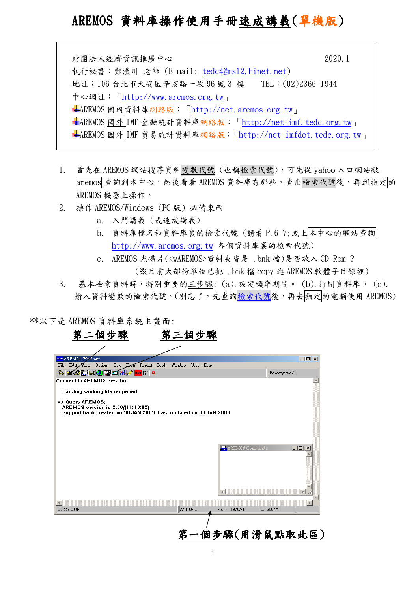AREMOS 資料庫操作使用手冊速成講義(單機版)

財團法人經濟資訊推廣中心 2020.1 執行祕書:鄭漢川 老師 (E-mail: tedc4@ms12.hinet.net) 地址:106 台北市大安區辛亥路一段 96 號 3 樓 TEL:(02)2366-1944 中心網址:「http://www.aremos.org.tw」 AREMOS 國內資料庫網路版:「http://net.aremos.org.tw」 **上AREMOS** 國外 IMF 金融統計資料庫網路版: 「http://net-imf.tedc.org.tw」 **↓AREMOS 國外 IMF 貿易統計資料庫網路版:「http://net-imfdot.tedc.org.tw」** 

- 1. 首先在 AREMOS 網站搜尋資料變數代號 (也稱檢索代號),可先從 yahoo 入口網站敲 aremos 查詢到本中心,然後看看 AREMOS 資料庫有那些,查出檢索代號後,再到指定的 AREMOS 機器上操作。
- 2. 操作 AREMOS/Windows (PC 版) 必備東西
	- a. 入門講義 (或速成講義)
	- b. 資料庫檔名和資料庫裏的檢索代號 (請看 P.6-7;或上本中心的網站查詢 http://www.aremos.org.tw 各個資料庫裏的檢索代號)
	- c. AREMOS 光碟片(<wAREMOS>資料夾皆是 .bnk 檔)是否放入 CD-Rom ? (※目前大部份單位已把 .bnk 檔 copy 進 AREMOS 軟體子目錄裡)
- 3. 基本檢索資料時,特別重要的三步驟: (a).設定頻率期間。 (b).打開資料庫。 (c). 輸入資料變數的檢索代號。(別忘了,先查詢檢索代號後,再去指定的電腦使用 AREMOS)

\*\*以下是 AREMOS 資料庫系統主畫面:

| 第二個步驟<br>第三個步驟                                                                                       |                                              |
|------------------------------------------------------------------------------------------------------|----------------------------------------------|
|                                                                                                      |                                              |
| ** AREMOS Windows                                                                                    | $ \Box$ $\times$                             |
| Yiew Options Data Egen Report Tools Window User Help<br>Edit<br>File                                 |                                              |
| ▙ <i>▓❹</i> ▓█▓ <mark>◑¥#K"</mark> <i>▞</i> ▗▖R'ਪ<br><b>Connect to AREMOS Session</b>                | Primary: work                                |
|                                                                                                      |                                              |
| Existing working file reopened                                                                       |                                              |
| $\Rightarrow$ Query AREMOS;                                                                          |                                              |
| AREMOS version is 2.30/[11:13:02]<br>Support bank created on 30 JAN 2003 Last updated on 30 JAN 2003 |                                              |
|                                                                                                      |                                              |
|                                                                                                      |                                              |
|                                                                                                      |                                              |
|                                                                                                      | <b>REAREMOS</b> Commands<br>$ \Box$ $\times$ |
|                                                                                                      |                                              |
|                                                                                                      |                                              |
|                                                                                                      |                                              |
|                                                                                                      |                                              |
|                                                                                                      |                                              |
|                                                                                                      |                                              |
| $\blacktriangleleft$<br>F1 for Help<br>ANNUAL                                                        | To: 2004A1<br>From: 1970A1                   |
|                                                                                                      |                                              |
|                                                                                                      |                                              |
|                                                                                                      | 個步驟(用滑鼠點取此區)                                 |
|                                                                                                      |                                              |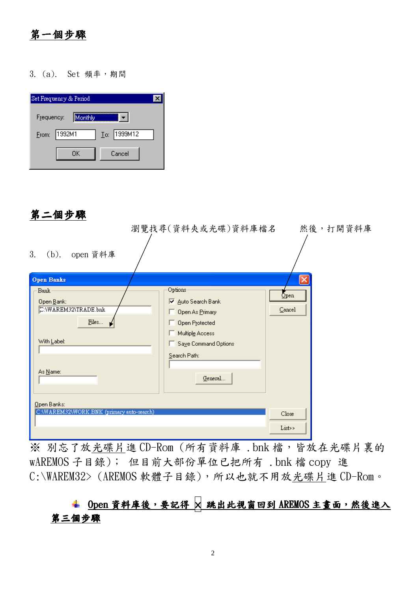# 第一個步驟

3. (a). Set 頻率, 期間

| Set Frequency & Period |                        |             |  |
|------------------------|------------------------|-------------|--|
| Frequency:             | Monthly <b>Monthly</b> |             |  |
| 1992M1<br>Erom:        |                        | Lo: 1999M12 |  |
|                        | OΚ                     | Cancel      |  |
|                        |                        |             |  |

# 第二個步驟

| 瀏覽找尋(資料夾或光碟)資料庫檔名<br>3.<br>$(b)$ .<br>open 資料庫<br><b>Open Banks</b><br>Options<br>Bank-<br>Ⅳ Auto Search Bank<br>Open Bank:<br>DAWAREM32\TRADE.bnk<br>Open As Primary<br>Files<br>Open Protected<br>Multiple Access<br>With Label:<br>Saye Command Options<br>Search Path:<br>As Name:<br>General | 然後,打開資料庫<br>Open<br>Cancel |
|---------------------------------------------------------------------------------------------------------------------------------------------------------------------------------------------------------------------------------------------------------------------------------------------------|----------------------------|
| Open Banks:                                                                                                                                                                                                                                                                                       | Close                      |
| C:\WAREM32\WORK.BNK (primary auto-search)                                                                                                                                                                                                                                                         | List>>                     |

※ 別忘了放光碟片進 CD-Rom (所有資料庫 .bnk 檔,皆放在光碟片裏的 wAREMOS 子目錄); 但目前大部份單位已把所有 .bnk 檔 copy 進 C:\WAREM32> (AREMOS 軟體子目錄),所以也就不用放光碟片進 CD-Rom。

# + Open 資料庫後,要記得 × 跳出此視窗回到 AREMOS 主畫面,然後進入 第三個步驟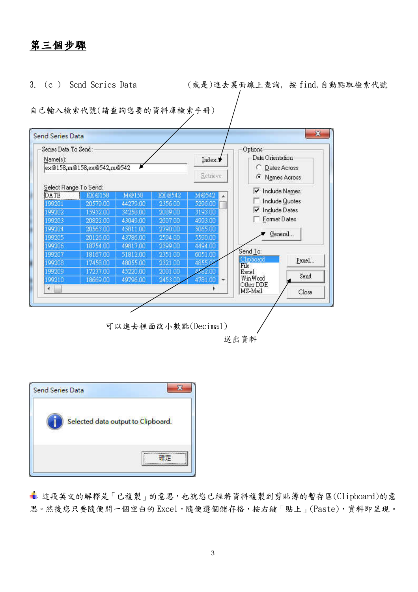第三個步驟

3. (c ) Send Series Data (或是)進去裏面線上查詢, 按 find,自動點取檢索代號

自己輸入檢索代號(請查詢您要的資料庫檢索手冊)

| Series Data To Send:                     |                       |          |         |                  | Options                                      |
|------------------------------------------|-----------------------|----------|---------|------------------|----------------------------------------------|
| $Name(s)$ :<br>ex@158,m@158,ex@542,m@542 |                       |          | Index.  | Data Orientation |                                              |
|                                          |                       |          |         | C Dates Across   |                                              |
|                                          |                       |          |         | Retrieve         | œ<br>Names Across                            |
|                                          | Select Range To Send: |          |         |                  |                                              |
| DATE                                     | EX@158                | M@158    | EX@542  | M@542            | Include Names<br>⊽                           |
| 199201                                   | 20579.00              | 44279.00 | 2356.00 | 5296.00          | Include Quotes                               |
| 199202                                   | 15932.00              | 34258.00 | 2089.00 | 3193.00          | Include Dates<br>M                           |
| 199203                                   | 20822.00              | 43049.00 | 2607.00 | 4993.00          | Format Dates                                 |
| 199204                                   | 20563.00              | 45811.00 | 2790.00 | 5065.00          |                                              |
| 199205                                   | 20126.00              | 43786.00 | 2594.00 | 5590.00          | General                                      |
| 199206                                   | 18754.00              | 49817.00 | 2399.00 | 4494.00          |                                              |
| 199207                                   | 18167.00              | 51812.00 | 2351.00 | 6051.00          | Send To:                                     |
| 199208                                   | 17458.00              | 48055.00 | 2321.00 | 4855 DR          | <b>Clipboard</b><br>Panel<br>File            |
| 199209                                   | 17237.00              | 45220.00 | 2001.00 | 4582.00          | Excel                                        |
| 199210                                   | 18669.00              | 49796.00 | 2453.00 | 4781.00          | Send<br>Win Word<br>$\overline{\phantom{a}}$ |
| $\epsilon$                               |                       |          |         |                  | Other DDE<br>MS-Mail<br>Close                |
|                                          |                       |          |         |                  |                                              |
|                                          |                       |          |         |                  |                                              |

送出資料



這段英文的解釋是「已複製」的意思,也就您已經將資料複製到剪貼簿的暫存區(Clipboard)的意 思。然後您只要隨便開一個空白的 Excel,隨便選個儲存格,按右鍵「貼上」(Paste),資料即呈現。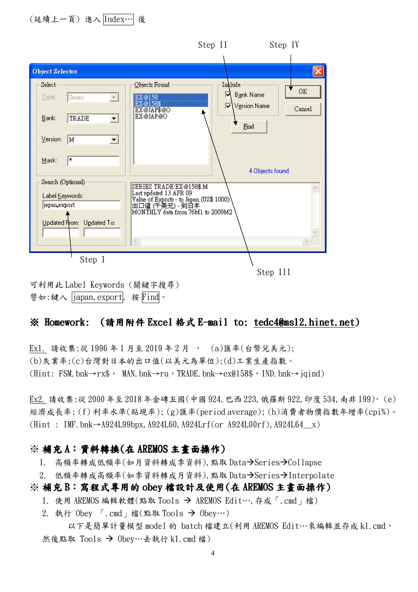# (延續上一頁) 進入 Index… 後



## ※ Homework: (請用附件 Excel 格式 E-mail to: tedc4@ms12.hinet.net)

Ex1. 請收集:從 1996 年 1 月至 2019 年 2 月 , (a)匯率(台幣兌美元); (b)失業率;(c)台灣對日本的出口值(以美元為單位);(d)工業生產指數。 (Hint: FSM. bnk→rx\$, MAN. bnk→ru, TRADE. bnk→ex@158\$, IND. bnk→ $\overline{\text{iqind}}$ )

Ex2. 請收集:從 2000 年至 2018 年金磚五國(中國 924,巴西 223,俄羅斯 922,印度 534,南非 199), (e) 經濟成長率; (f) 利率水準(貼現率); (g)匯率(period average); (h)消費者物價指數年增率(cpi%)。  $(Hint : IMF. bnk \rightarrow A924L99bpx, A924L60, A924Lrf (or A924L00rf), A924L64 x)$ 

# ※ 補充 A:資料轉換(在 AREMOS 主畫面操作)

1. 高頻率轉成低頻率(如月資料轉成季資料),點取 Data→Series→Collapse

2. 低頻率轉成高頻率(如季資料轉成月資料),點取 Data→Series→Interpolate

#### ※補充 B:寫程式專用的 obey 檔設計及使用(在 AREMOS 主畫面操作)

1. 使用 AREMOS 編輯軟體(點取 Tools → AREMOS Edit…,存成「.cmd」檔)

2. 執行 Obey 「.cmd」檔(點取 Tools  $\rightarrow$  Obey…)

以下是簡單計量模型 model 的 batch 檔建立(利用 AREMOS Edit…來編輯並存成 k1.cmd, 然後點取 Tools → Obey…去執行 k1. cmd 檔)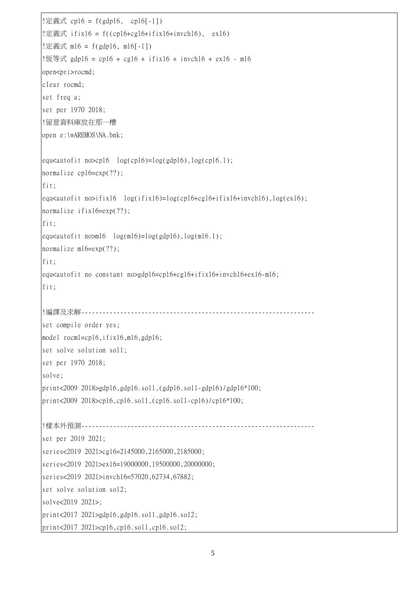```
!定義式 cp16 = f(gdp16, cp16[-1])!定義式 ifix16 = f((cp16+cg16+ifix16+invch16), ex16) 
!定義式 m16 = f(gdp16, m16[-1]) 
!恆等式 gdp16 = cp16 + cg16 + ifix16 + invch16 + ex16 - m16
open<pri>rocmd; 
clear rocmd; 
set freq a; 
set per 1970 2018; 
!留意資料庫放在那一槽 
open e:\wAREMOS\NA.bnk; 
equ<autofit no>cp16 log(cp16)=log(gdp16),log(cp16.1); 
normalize cp16=exp(??); 
fit:
equ<autofit no>ifix16 log(ifix16)=log(cp16+cg16+ifix16+invch16),log(ex16); 
normalize ifix16=exp(??); 
fit:
equ<autofit no>min log(m16)=log(gdp16),log(m16.1);
normalize m16=exp(??); 
fit; 
equ<autofit no constant no>gdp16=cp16+cg16+ifix16+invch16+ex16-m16; 
fit;
!編譯及求解------------------------------------------------------------------ 
set compile order yes; 
model rocml=cp16,ifix16,m16,gdp16; 
set solve solution sol1; 
set per 1970 2018; 
solve; 
print<2009 2018>gdp16,gdp16.sol1,(gdp16.sol1-gdp16)/gdp16*100; 
print<2009 2018>cp16,cp16.sol1,(cp16.sol1-cp16)/cp16*100; 
!樣本外預測------------------------------------------------------------------ 
set per 2019 2021; 
series<2019 2021>cg16=2145000,2165000,2185000; 
series<2019 2021>ex16=19000000,19500000,20000000;
series<2019 2021>invch16=57020,62734,67882; 
set solve solution sol2;
solve<2019 2021>; 
print<2017 2021>gdp16,gdp16.sol1,gdp16.sol2; 
print<2017 2021>cp16,cp16.sol1,cp16.sol2;
```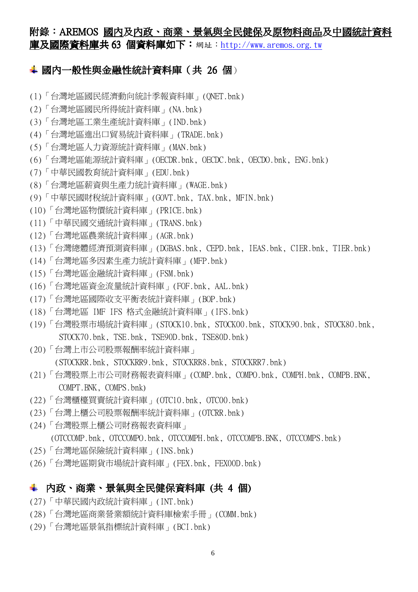附錄:AREMOS 國內及內政、商業、景氣與全民健保及原物料商品及中國統計資料 庫及國際資料庫共 63 個資料庫如下:網址:http://www.aremos.org.tw

# ↓ 國內一般性與金融性統計資料庫 (共 26 個)

- (1)「台灣地區國民經濟動向統計季報資料庫」(QNET.bnk)
- (2)「台灣地區國民所得統計資料庫」(NA.bnk)
- (3)「台灣地區工業生產統計資料庫」(IND.bnk)
- (4)「台灣地區進出口貿易統計資料庫」(TRADE.bnk)
- (5)「台灣地區人力資源統計資料庫」(MAN.bnk)
- (6)「台灣地區能源統計資料庫」(OECDR.bnk, OECDC.bnk, OECDO.bnk, ENG.bnk)
- (7)「中華民國教育統計資料庫」(EDU.bnk)
- (8)「台灣地區薪資與生產力統計資料庫」(WAGE.bnk)
- (9)「中華民國財稅統計資料庫」(GOVT.bnk, TAX.bnk, MFIN.bnk)
- (10)「台灣地區物價統計資料庫」(PRICE.bnk)
- (11)「中華民國交通統計資料庫」(TRANS.bnk)
- (12)「台灣地區農業統計資料庫」(AGR.bnk)
- (13)「台灣總體經濟預測資料庫」(DGBAS.bnk, CEPD.bnk, IEAS.bnk, CIER.bnk, TIER.bnk)
- (14)「台灣地區多因素生產力統計資料庫」(MFP.bnk)
- (15)「台灣地區金融統計資料庫」(FSM.bnk)
- (16)「台灣地區資金流量統計資料庫」(FOF.bnk, AAL.bnk)
- (17)「台灣地區國際收支平衡表統計資料庫」(BOP.bnk)
- (18)「台灣地區 IMF IFS 格式金融統計資料庫」(IFS.bnk)
- (19)「台灣股票市場統計資料庫」(STOCK10.bnk, STOCK00.bnk, STOCK90.bnk, STOCK80.bnk, STOCK70.bnk, TSE.bnk, TSE90D.bnk, TSE80D.bnk)
- (20)「台灣上市公司股票報酬率統計資料庫」 (STOCKRR.bnk, STOCKRR9.bnk, STOCKRR8.bnk, STOCKRR7.bnk)
- (21)「台灣股票上市公司財務報表資料庫」(COMP.bnk, COMPO.bnk, COMPH.bnk, COMPB.BNK, COMPT.BNK, COMPS.bnk)
- (22)「台灣櫃檯買賣統計資料庫」(OTC10.bnk, OTC00.bnk)
- (23)「台灣上櫃公司股票報酬率統計資料庫」(OTCRR.bnk)
- (24)「台灣股票上櫃公司財務報表資料庫」
	- (OTCCOMP.bnk, OTCCOMPO.bnk, OTCCOMPH.bnk, OTCCOMPB.BNK, OTCCOMPS.bnk)
- (25)「台灣地區保險統計資料庫」(INS.bnk)
- (26)「台灣地區期貨市場統計資料庫」(FEX.bnk, FEX00D.bnk)

## ↓ 内政、商業、景氣與全民健保資料庫 (共 4 個)

- (27)「中華民國內政統計資料庫」(INT.bnk)
- (28)「台灣地區商業營業額統計資料庫檢索手冊」(COMM.bnk)
- (29)「台灣地區景氣指標統計資料庫」(BCI.bnk)